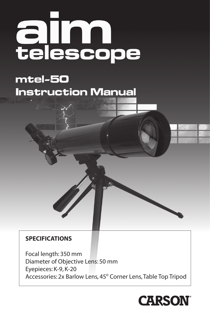# **allm**<br>telescope

# mtel-50 **Instruction Manual**

# **SPECIFICATIONS**

Focal length: 350 mm Diameter of Objective Lens: 50 mm Eyepieces: K-9, K-20 Accessories: 2x Barlow Lens, 45° Corner Lens, Table Top Tripod

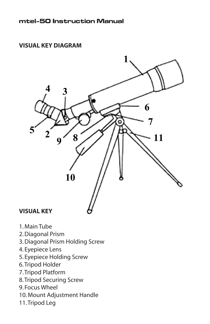## **VISUAL KEY DIAGRAM**



- 1. Main Tube
- 2. Diagonal Prism
- 3. Diagonal Prism Holding Screw
- 4. Eyepiece Lens
- 5. Eyepiece Holding Screw
- 6. Tripod Holder
- 7. Tripod Platform
- 8. Tripod Securing Screw
- 9. Focus Wheel
- 10. Mount Adjustment Handle
- 11. Tripod Leg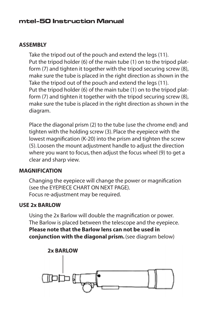### mtel-50 Instruction Manual

### **ASSEMBLY**

Take the tripod out of the pouch and extend the legs (11). Put the tripod holder (6) of the main tube (1) on to the tripod platform (7) and tighten it together with the tripod securing screw (8), make sure the tube is placed in the right direction as shown in the Take the tripod out of the pouch and extend the legs (11). Put the tripod holder (6) of the main tube (1) on to the tripod platform (7) and tighten it together with the tripod securing screw (8), make sure the tube is placed in the right direction as shown in the diagram.

Place the diagonal prism (2) to the tube (use the chrome end) and tighten with the holding screw (3). Place the eyepiece with the lowest magnification (K-20) into the prism and tighten the screw (5). Loosen the mount adjustment handle to adjust the direction where you want to focus, then adjust the focus wheel (9) to get a clear and sharp view.

### **MAGNIFICATION**

Changing the eyepiece will change the power or magnification (see the EYEPIECE CHART ON NEXT PAGE). Focus re-adjustment may be required.

### **USE 2x BARLOW**

Using the 2x Barlow will double the magnification or power. The Barlow is placed between the telescope and the eyepiece. **Please note that the Barlow lens can not be used in conjunction with the diagonal prism.** (see diagram below)